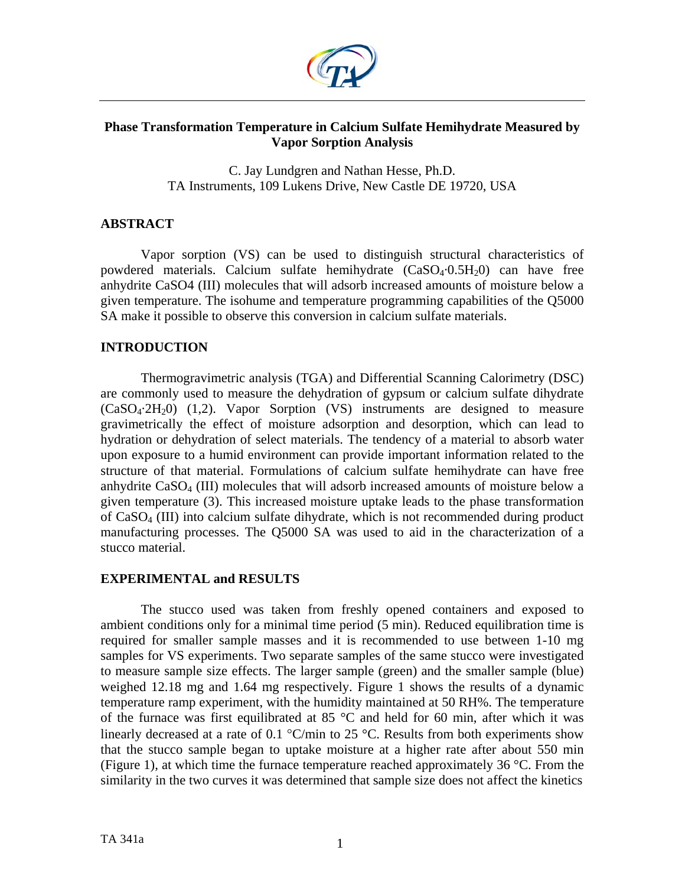

# **Phase Transformation Temperature in Calcium Sulfate Hemihydrate Measured by Vapor Sorption Analysis**

C. Jay Lundgren and Nathan Hesse, Ph.D. TA Instruments, 109 Lukens Drive, New Castle DE 19720, USA

# **ABSTRACT**

Vapor sorption (VS) can be used to distinguish structural characteristics of powdered materials. Calcium sulfate hemihydrate  $(CaSO<sub>4</sub>·0.5H<sub>2</sub>0)$  can have free anhydrite CaSO4 (III) molecules that will adsorb increased amounts of moisture below a given temperature. The isohume and temperature programming capabilities of the Q5000 SA make it possible to observe this conversion in calcium sulfate materials.

# **INTRODUCTION**

Thermogravimetric analysis (TGA) and Differential Scanning Calorimetry (DSC) are commonly used to measure the dehydration of gypsum or calcium sulfate dihydrate  $(CaSO<sub>4</sub>·2H<sub>2</sub>0)$  (1,2). Vapor Sorption (VS) instruments are designed to measure gravimetrically the effect of moisture adsorption and desorption, which can lead to hydration or dehydration of select materials. The tendency of a material to absorb water upon exposure to a humid environment can provide important information related to the structure of that material. Formulations of calcium sulfate hemihydrate can have free anhydrite CaSO4 (III) molecules that will adsorb increased amounts of moisture below a given temperature (3). This increased moisture uptake leads to the phase transformation of CaSO4 (III) into calcium sulfate dihydrate, which is not recommended during product manufacturing processes. The Q5000 SA was used to aid in the characterization of a stucco material.

# **EXPERIMENTAL and RESULTS**

The stucco used was taken from freshly opened containers and exposed to ambient conditions only for a minimal time period (5 min). Reduced equilibration time is required for smaller sample masses and it is recommended to use between 1-10 mg samples for VS experiments. Two separate samples of the same stucco were investigated to measure sample size effects. The larger sample (green) and the smaller sample (blue) weighed 12.18 mg and 1.64 mg respectively. Figure 1 shows the results of a dynamic temperature ramp experiment, with the humidity maintained at 50 RH%. The temperature of the furnace was first equilibrated at 85 °C and held for 60 min, after which it was linearly decreased at a rate of 0.1  $\degree$ C/min to 25  $\degree$ C. Results from both experiments show that the stucco sample began to uptake moisture at a higher rate after about 550 min (Figure 1), at which time the furnace temperature reached approximately 36  $\degree$ C. From the similarity in the two curves it was determined that sample size does not affect the kinetics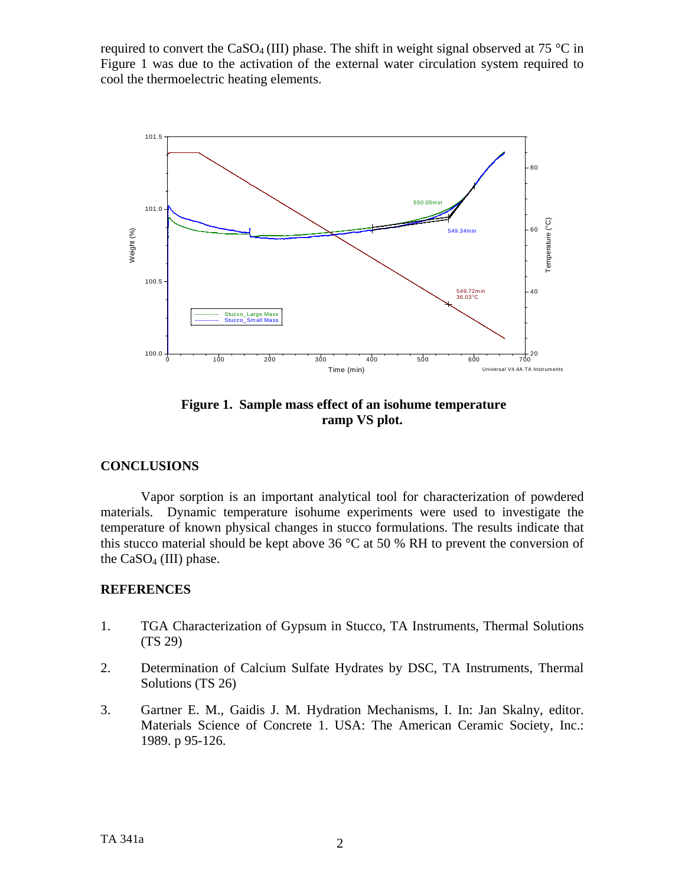required to convert the CaSO<sub>4</sub> (III) phase. The shift in weight signal observed at 75 °C in Figure 1 was due to the activation of the external water circulation system required to cool the thermoelectric heating elements.



 **Figure 1. Sample mass effect of an isohume temperature ramp VS plot.** 

# **CONCLUSIONS**

Vapor sorption is an important analytical tool for characterization of powdered materials. Dynamic temperature isohume experiments were used to investigate the temperature of known physical changes in stucco formulations. The results indicate that this stucco material should be kept above 36  $\degree$ C at 50 % RH to prevent the conversion of the  $CaSO<sub>4</sub>$  (III) phase.

# **REFERENCES**

- 1. TGA Characterization of Gypsum in Stucco, TA Instruments, Thermal Solutions (TS 29)
- 2. Determination of Calcium Sulfate Hydrates by DSC, TA Instruments, Thermal Solutions (TS 26)
- 3. Gartner E. M., Gaidis J. M. Hydration Mechanisms, I. In: Jan Skalny, editor. Materials Science of Concrete 1. USA: The American Ceramic Society, Inc.: 1989. p 95-126.